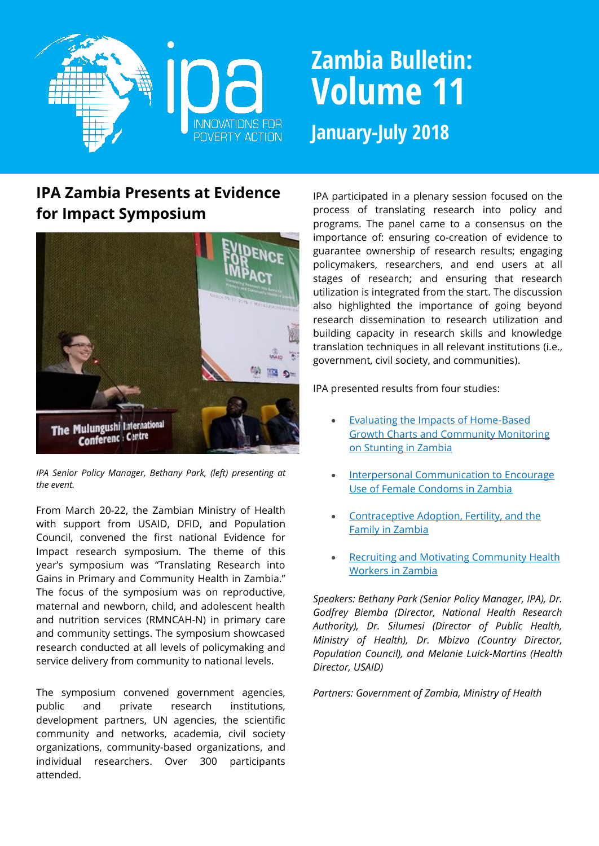

# **Zambia Bulletin: Volume 11 January-July 2018**

## **IPA Zambia Presents at Evidence for Impact Symposium**



*IPA Senior Policy Manager, Bethany Park, (left) presenting at the event.*

From March 20-22, the Zambian Ministry of Health with support from USAID, DFID, and Population Council, convened the first national Evidence for Impact research symposium. The theme of this year's symposium was "Translating Research into Gains in Primary and Community Health in Zambia." The focus of the symposium was on reproductive, maternal and newborn, child, and adolescent health and nutrition services (RMNCAH-N) in primary care and community settings. The symposium showcased research conducted at all levels of policymaking and service delivery from community to national levels.

The symposium convened government agencies, public and private research institutions, development partners, UN agencies, the scientific community and networks, academia, civil society organizations, community-based organizations, and individual researchers. Over 300 participants attended.

IPA participated in a plenary session focused on the process of translating research into policy and programs. The panel came to a consensus on the importance of: ensuring co-creation of evidence to guarantee ownership of research results; engaging policymakers, researchers, and end users at all stages of research; and ensuring that research utilization is integrated from the start. The discussion also highlighted the importance of going beyond research dissemination to research utilization and building capacity in research skills and knowledge translation techniques in all relevant institutions (i.e., government, civil society, and communities).

#### IPA presented results from four studies:

- [Evaluating the Impacts of Home-Based](http://www.poverty-action.org/study/evaluating-impacts-home-based-growth-charts-and-community-monitoring-stunting-zambia)  [Growth Charts and Community Monitoring](http://www.poverty-action.org/study/evaluating-impacts-home-based-growth-charts-and-community-monitoring-stunting-zambia)  [on Stunting in Zambia](http://www.poverty-action.org/study/evaluating-impacts-home-based-growth-charts-and-community-monitoring-stunting-zambia)
- Interpersonal Communication to Encourage [Use of Female Condoms in Zambia](http://www.poverty-action.org/study/interpersonal-communication-encourage-use-female-condoms-zambia)
- [Contraceptive Adoption, Fertility, and the](http://www.poverty-action.org/study/contraceptive-adoption-fertility-and-family-zambia)  [Family in Zambia](http://www.poverty-action.org/study/contraceptive-adoption-fertility-and-family-zambia)
- [Recruiting and Motivating Community Health](https://www.poverty-action.org/study/recruiting-and-motivating-community-health-workers-zambia)  [Workers in Zambia](https://www.poverty-action.org/study/recruiting-and-motivating-community-health-workers-zambia)

*Speakers: Bethany Park (Senior Policy Manager, IPA), Dr. Godfrey Biemba (Director, National Health Research Authority), Dr. Silumesi (Director of Public Health, Ministry of Health), Dr. Mbizvo (Country Director, Population Council), and Melanie Luick-Martins (Health Director, USAID)*

*Partners: Government of Zambia, Ministry of Health*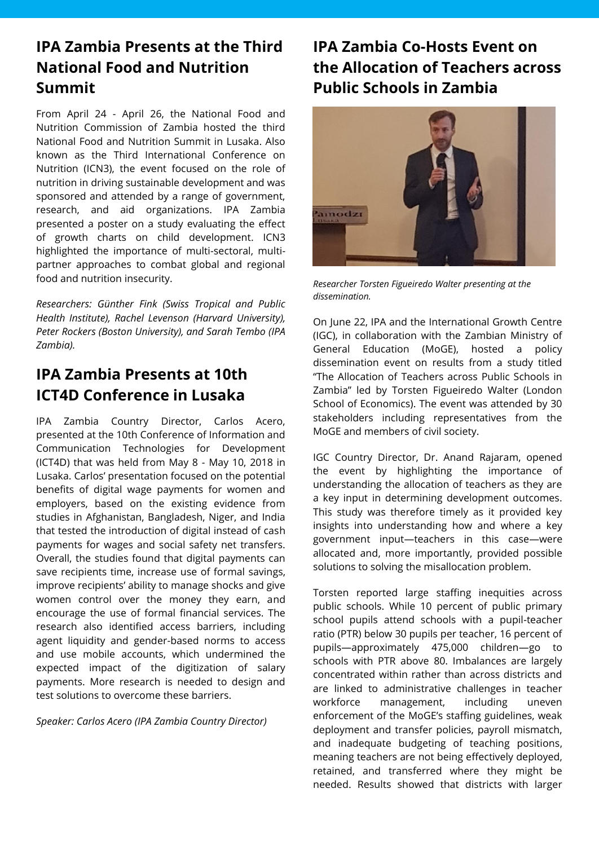## **IPA Zambia Presents at the Third National Food and Nutrition Summit**

From April 24 - April 26, the National Food and Nutrition Commission of Zambia hosted the third National Food and Nutrition Summit in Lusaka. Also known as the Third International Conference on Nutrition (ICN3), the event focused on the role of nutrition in driving sustainable development and was sponsored and attended by a range of government, research, and aid organizations. IPA Zambia presented a poster on a study evaluating the effect of growth charts on child development. ICN3 highlighted the importance of multi-sectoral, multipartner approaches to combat global and regional food and nutrition insecurity.

*Researchers: Günther Fink (Swiss Tropical and Public Health Institute), Rachel Levenson (Harvard University), Peter Rockers (Boston University), and Sarah Tembo (IPA Zambia).*

#### **IPA Zambia Presents at 10th ICT4D Conference in Lusaka**

IPA Zambia Country Director, Carlos Acero, presented at the 10th Conference of Information and Communication Technologies for Development (ICT4D) that was held from May 8 - May 10, 2018 in Lusaka. Carlos' presentation focused on the potential benefits of digital wage payments for women and employers, based on the existing evidence from studies in Afghanistan, Bangladesh, Niger, and India that tested the introduction of digital instead of cash payments for wages and social safety net transfers. Overall, the studies found that digital payments can save recipients time, increase use of formal savings, improve recipients' ability to manage shocks and give women control over the money they earn, and encourage the use of formal financial services. The research also identified access barriers, including agent liquidity and gender-based norms to access and use mobile accounts, which undermined the expected impact of the digitization of salary payments. More research is needed to design and test solutions to overcome these barriers.

*Speaker: Carlos Acero (IPA Zambia Country Director)*

## **IPA Zambia Co-Hosts Event on the Allocation of Teachers across Public Schools in Zambia**



*Researcher Torsten Figueiredo Walter presenting at the dissemination.*

On June 22, IPA and the International Growth Centre (IGC), in collaboration with the Zambian Ministry of General Education (MoGE), hosted a policy dissemination event on results from a study titled "The Allocation of Teachers across Public Schools in Zambia" led by Torsten Figueiredo Walter (London School of Economics). The event was attended by 30 stakeholders including representatives from the MoGE and members of civil society.

IGC Country Director, Dr. Anand Rajaram, opened the event by highlighting the importance of understanding the allocation of teachers as they are a key input in determining development outcomes. This study was therefore timely as it provided key insights into understanding how and where a key government input—teachers in this case—were allocated and, more importantly, provided possible solutions to solving the misallocation problem.

Torsten reported large staffing inequities across public schools. While 10 percent of public primary school pupils attend schools with a pupil-teacher ratio (PTR) below 30 pupils per teacher, 16 percent of pupils—approximately 475,000 children—go to schools with PTR above 80. Imbalances are largely concentrated within rather than across districts and are linked to administrative challenges in teacher workforce management, including uneven enforcement of the MoGE's staffing guidelines, weak deployment and transfer policies, payroll mismatch, and inadequate budgeting of teaching positions, meaning teachers are not being effectively deployed, retained, and transferred where they might be needed. Results showed that districts with larger